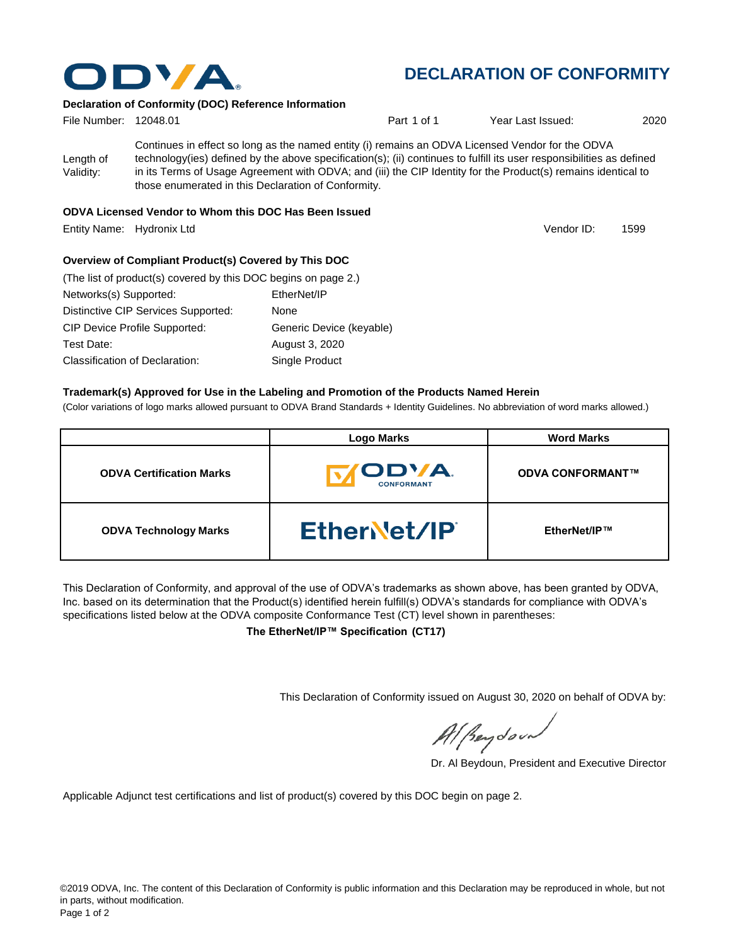

## **DECLARATION OF CONFORMITY**

#### **Declaration of Conformity (DOC) Reference Information**

| File Number: 12048.01  |                                                                                                                                                                                                                                                                                                                                                                                                   | Part 1 of 1 | Year Last Issued: | 2020 |
|------------------------|---------------------------------------------------------------------------------------------------------------------------------------------------------------------------------------------------------------------------------------------------------------------------------------------------------------------------------------------------------------------------------------------------|-------------|-------------------|------|
| Length of<br>Validity: | Continues in effect so long as the named entity (i) remains an ODVA Licensed Vendor for the ODVA<br>technology(ies) defined by the above specification(s); (ii) continues to fulfill its user responsibilities as defined<br>in its Terms of Usage Agreement with ODVA; and (iii) the CIP Identity for the Product(s) remains identical to<br>those enumerated in this Declaration of Conformity. |             |                   |      |
|                        | ODVA Licensed Vendor to Whom this DOC Has Been Issued                                                                                                                                                                                                                                                                                                                                             |             |                   |      |

Entity Name: Hydronix Ltd 1599

Vendor ID:

### **Overview of Compliant Product(s) Covered by This DOC**

| (The list of product(s) covered by this DOC begins on page 2.) |                          |  |  |  |  |
|----------------------------------------------------------------|--------------------------|--|--|--|--|
| Networks(s) Supported:                                         | EtherNet/IP              |  |  |  |  |
| Distinctive CIP Services Supported:                            | None                     |  |  |  |  |
| <b>CIP Device Profile Supported:</b>                           | Generic Device (keyable) |  |  |  |  |
| Test Date:                                                     | August 3, 2020           |  |  |  |  |
| Classification of Declaration:                                 | Single Product           |  |  |  |  |

### **Trademark(s) Approved for Use in the Labeling and Promotion of the Products Named Herein**

(Color variations of logo marks allowed pursuant to ODVA Brand Standards + Identity Guidelines. No abbreviation of word marks allowed.)

|                                 | <b>Logo Marks</b>                  | <b>Word Marks</b>       |
|---------------------------------|------------------------------------|-------------------------|
| <b>ODVA Certification Marks</b> | <b>IODVA.</b><br><b>CONFORMANT</b> | <b>ODVA CONFORMANT™</b> |
| <b>ODVA Technology Marks</b>    | EtherNet/IP                        | EtherNet/IP™            |

This Declaration of Conformity, and approval of the use of ODVA's trademarks as shown above, has been granted by ODVA, Inc. based on its determination that the Product(s) identified herein fulfill(s) ODVA's standards for compliance with ODVA's specifications listed below at the ODVA composite Conformance Test (CT) level shown in parentheses:

**The EtherNet/IP™ Specification (CT17)**

This Declaration of Conformity issued on August 30, 2020 on behalf of ODVA by:

Al Beydoor

Dr. Al Beydoun, President and Executive Director

Applicable Adjunct test certifications and list of product(s) covered by this DOC begin on page 2.